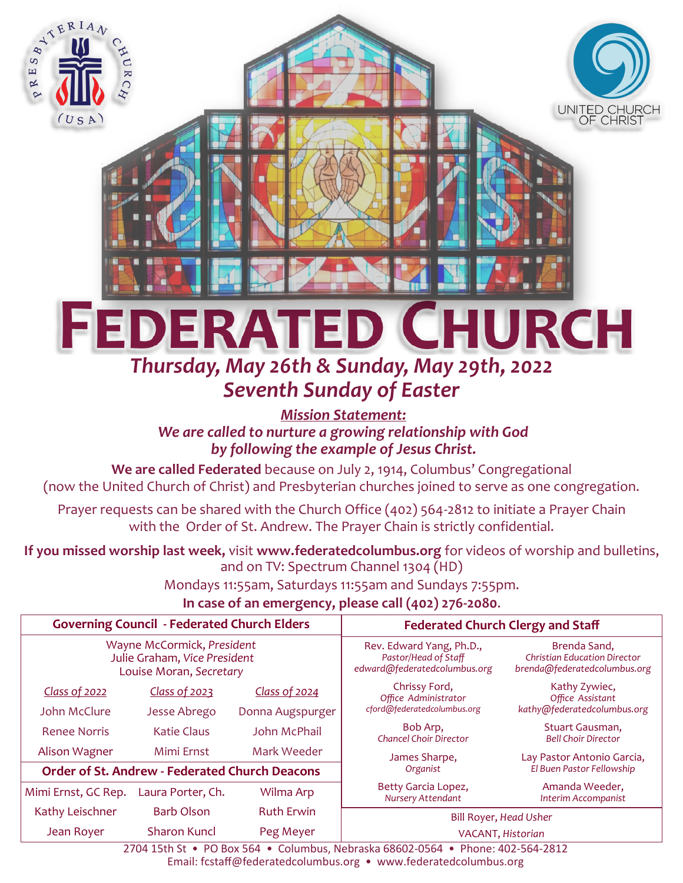

# *Thursday, May 26th & Sunday, May 29th, 2022 Seventh Sunday of Easter*

*Mission Statement: We are called to nurture a growing relationship with God by following the example of Jesus Christ.*

**We are called Federated** because on July 2, 1914, Columbus' Congregational (now the United Church of Christ) and Presbyterian churches joined to serve as one congregation.

Prayer requests can be shared with the Church Office (402) 564-2812 to initiate a Prayer Chain with the Order of St. Andrew. The Prayer Chain is strictly confidential.

**If you missed worship last week,** visit **www.federatedcolumbus.org** for videos of worship and bulletins, and on TV: Spectrum Channel 1304 (HD)

Mondays 11:55am, Saturdays 11:55am and Sundays 7:55pm.

# **In case of an emergency, please call (402) 276-2080**.

| <b>Governing Council - Federated Church Elders</b>                                    |                    |                   | <b>Federated Church Clergy and Staff</b>                                         |                                                                                     |
|---------------------------------------------------------------------------------------|--------------------|-------------------|----------------------------------------------------------------------------------|-------------------------------------------------------------------------------------|
| Wayne McCormick, President<br>Julie Graham, Vice President<br>Louise Moran, Secretary |                    |                   | Rev. Edward Yang, Ph.D.,<br>Pastor/Head of Staff<br>edward@federatedcolumbus.org | Brenda Sand,<br><b>Christian Education Director</b><br>brenda@federatedcolumbus.org |
| Class of 2022                                                                         | Class of 2023      | Class of 2024     | Chrissy Ford,<br>Office Administrator<br>cford@federatedcolumbus.org             | Kathy Zywiec,<br>Office Assistant<br>kathy@federatedcolumbus.org                    |
| John McClure                                                                          | Jesse Abrego       | Donna Augspurger  |                                                                                  |                                                                                     |
| <b>Renee Norris</b>                                                                   | <b>Katie Claus</b> | John McPhail      | Bob Arp.<br><b>Chancel Choir Director</b>                                        | Stuart Gausman,<br><b>Bell Choir Director</b>                                       |
| Alison Wagner                                                                         | Mimi Ernst         | Mark Weeder       | James Sharpe,                                                                    | Lay Pastor Antonio Garcia,                                                          |
| <b>Order of St. Andrew - Federated Church Deacons</b>                                 |                    |                   | Organist                                                                         | El Buen Pastor Fellowship                                                           |
| Mimi Ernst, GC Rep.                                                                   | Laura Porter, Ch.  | Wilma Arp         | Betty Garcia Lopez,<br>Nursery Attendant                                         | Amanda Weeder,<br>Interim Accompanist                                               |
| Kathy Leischner                                                                       | <b>Barb Olson</b>  | <b>Ruth Erwin</b> | Bill Royer, Head Usher                                                           |                                                                                     |
| Jean Royer                                                                            | Sharon Kuncl       | Peg Meyer         | VACANT, Historian                                                                |                                                                                     |

2704 15th St • PO Box 564 • Columbus, Nebraska 68602-0564 • Phone: 402-564-2812 Email: fcstaff@federatedcolumbus.org • www.federatedcolumbus.org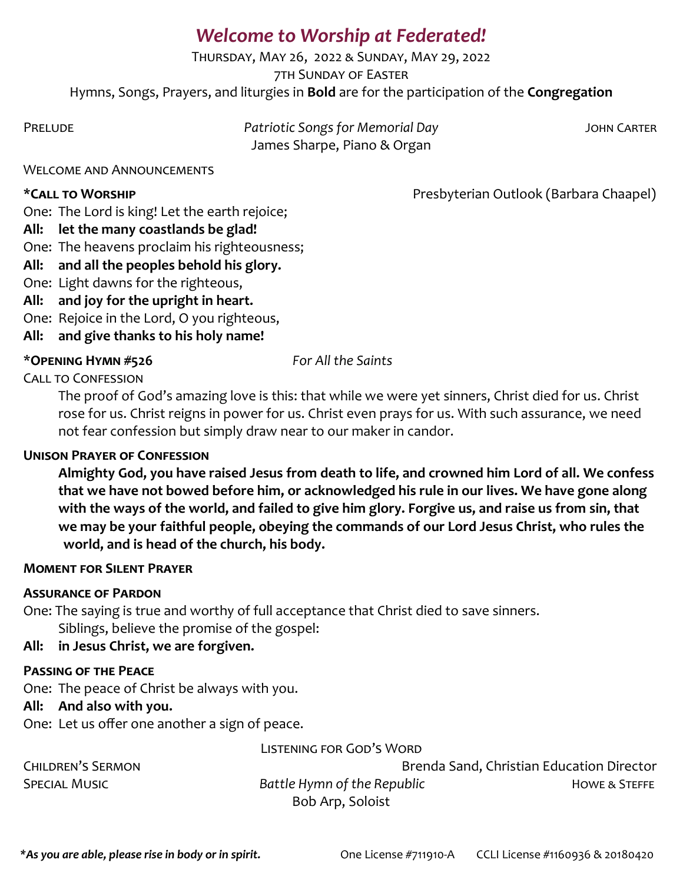# *Welcome to Worship at Federated!*

Thursday, May 26, 2022 & Sunday, May 29, 2022 7th Sunday of Easter Hymns, Songs, Prayers, and liturgies in **Bold** are for the participation of the **Congregation**

| PRELUDE | Patriotic Songs for Memorial Day | JOHN CARTER |
|---------|----------------------------------|-------------|
|         | James Sharpe, Piano & Organ      |             |

#### Welcome and Announcements

\*CALL TO WORSHIP **Presect of Account Account CALL TO WORSHIP** Presbyterian Outlook (Barbara Chaapel)

One: The Lord is king! Let the earth rejoice;

### **All: let the many coastlands be glad!**

One: The heavens proclaim his righteousness;

# **All: and all the peoples behold his glory.**

One: Light dawns for the righteous,

- **All: and joy for the upright in heart.**
- One: Rejoice in the Lord, O you righteous,
- **All: and give thanks to his holy name!**

# \***Opening Hymn #526** *For All the Saints*

Call to Confession

The proof of God's amazing love is this: that while we were yet sinners, Christ died for us. Christ rose for us. Christ reigns in power for us. Christ even prays for us. With such assurance, we need not fear confession but simply draw near to our maker in candor.

# **Unison Prayer of Confession**

**Almighty God, you have raised Jesus from death to life, and crowned him Lord of all. We confess that we have not bowed before him, or acknowledged his rule in our lives. We have gone along with the ways of the world, and failed to give him glory. Forgive us, and raise us from sin, that we may be your faithful people, obeying the commands of our Lord Jesus Christ, who rules the world, and is head of the church, his body.** 

#### **Moment for Silent Prayer**

# **Assurance of Pardon**

One: The saying is true and worthy of full acceptance that Christ died to save sinners. Siblings, believe the promise of the gospel:

# **All: in Jesus Christ, we are forgiven.**

# **Passing of the Peace**

One: The peace of Christ be always with you.

# **All: And also with you.**

One: Let us offer one another a sign of peace.

#### Listening for God's Word

Children's Sermon Brenda Sand, Christian Education Director SPECIAL MUSIC **Battle Hymn of the Republic Besides Howe & STEFFE** Bob Arp, Soloist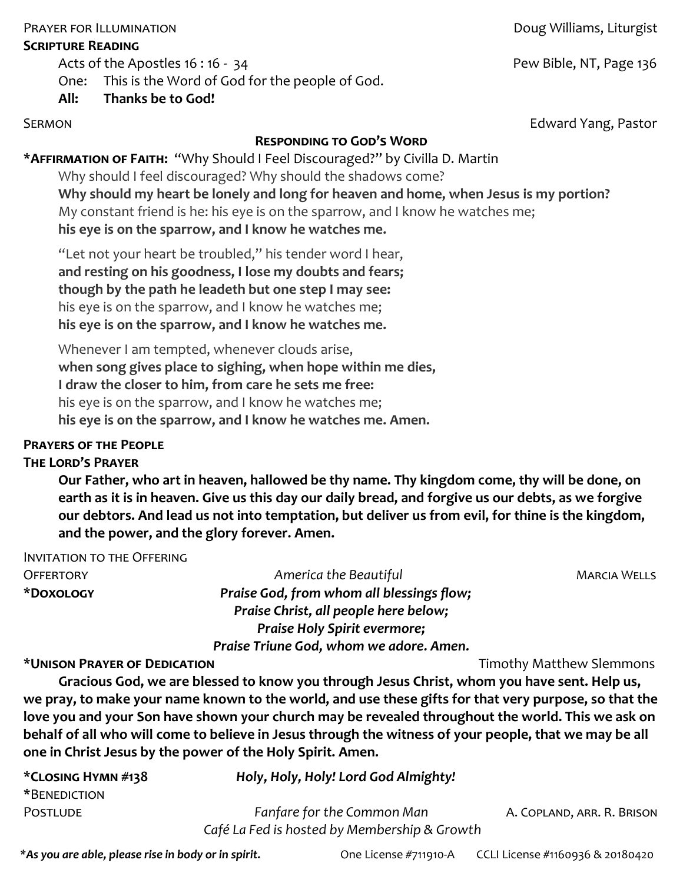#### PRAYER FOR ILLUMINATION **PRAYER FOR ILLUMINATION**

#### **Scripture Reading**

Acts of the Apostles 16:16 - 34 Pew Bible, NT, Page 136

### One: This is the Word of God for the people of God.

**All: Thanks be to God!**

**Responding to God's Word**

**\*Affirmation of Faith:** "Why Should I Feel Discouraged?" by Civilla D. Martin Why should I feel discouraged? Why should the shadows come? **Why should my heart be lonely and long for heaven and home, when Jesus is my portion?** My constant friend is he: his eye is on the sparrow, and I know he watches me; **his eye is on the sparrow, and I know he watches me.**

"Let not your heart be troubled," his tender word I hear, **and resting on his goodness, I lose my doubts and fears; though by the path he leadeth but one step I may see:** his eye is on the sparrow, and I know he watches me; **his eye is on the sparrow, and I know he watches me.** 

Whenever I am tempted, whenever clouds arise, **when song gives place to sighing, when hope within me dies, I draw the closer to him, from care he sets me free:** his eye is on the sparrow, and I know he watches me; **his eye is on the sparrow, and I know he watches me. Amen.**

#### **Prayers of the People**

#### **The Lord's Prayer**

**Our Father, who art in heaven, hallowed be thy name. Thy kingdom come, thy will be done, on earth as it is in heaven. Give us this day our daily bread, and forgive us our debts, as we forgive our debtors. And lead us not into temptation, but deliver us from evil, for thine is the kingdom, and the power, and the glory forever. Amen.**

Invitation to the Offering Offertory *America the Beautiful* Marcia Wells **\*Doxology** *Praise God, from whom all blessings flow; Praise Christ, all people here below; Praise Holy Spirit evermore; Praise Triune God, whom we adore. Amen.*

**\*Unison Prayer of Dedication** Timothy Matthew Slemmons

**Gracious God, we are blessed to know you through Jesus Christ, whom you have sent. Help us, we pray, to make your name known to the world, and use these gifts for that very purpose, so that the love you and your Son have shown your church may be revealed throughout the world. This we ask on behalf of all who will come to believe in Jesus through the witness of your people, that we may be all one in Christ Jesus by the power of the Holy Spirit. Amen.**

| *CLOSING HYMN #138 | Holy, Holy, Holy! Lord God Almighty!         |                            |
|--------------------|----------------------------------------------|----------------------------|
| *BENEDICTION       |                                              |                            |
| POSTLUDE           | Fanfare for the Common Man                   | A. COPLAND, ARR. R. BRISON |
|                    | Café La Fed is hosted by Membership & Growth |                            |

SERMON **Edward Yang, Pastor**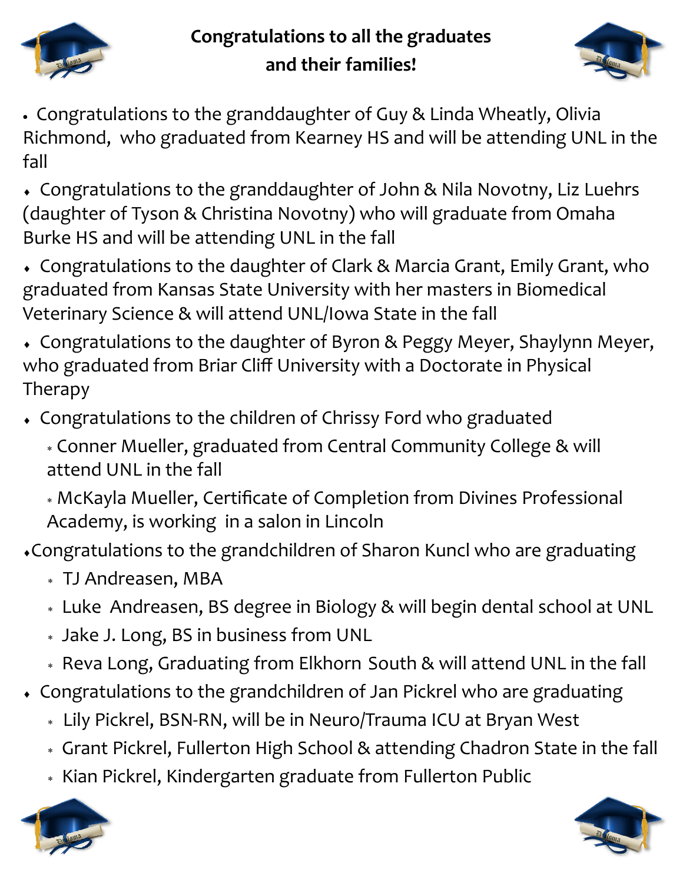![](_page_3_Picture_0.jpeg)

# **Congratulations to all the graduates and their families!**

![](_page_3_Picture_2.jpeg)

- Congratulations to the granddaughter of Guy & Linda Wheatly, Olivia Richmond, who graduated from Kearney HS and will be attending UNL in the fall
- Congratulations to the granddaughter of John & Nila Novotny, Liz Luehrs (daughter of Tyson & Christina Novotny) who will graduate from Omaha Burke HS and will be attending UNL in the fall
- Congratulations to the daughter of Clark & Marcia Grant, Emily Grant, who graduated from Kansas State University with her masters in Biomedical Veterinary Science & will attend UNL/Iowa State in the fall
- Congratulations to the daughter of Byron & Peggy Meyer, Shaylynn Meyer, who graduated from Briar Cliff University with a Doctorate in Physical Therapy
- Congratulations to the children of Chrissy Ford who graduated
	- Conner Mueller, graduated from Central Community College & will attend UNL in the fall
	- McKayla Mueller, Certificate of Completion from Divines Professional Academy, is working in a salon in Lincoln
- Congratulations to the grandchildren of Sharon Kuncl who are graduating
	- TJ Andreasen, MBA
	- Luke Andreasen, BS degree in Biology & will begin dental school at UNL
	- Jake J. Long, BS in business from UNL
	- Reva Long, Graduating from Elkhorn South & will attend UNL in the fall
- Congratulations to the grandchildren of Jan Pickrel who are graduating
	- Lily Pickrel, BSN-RN, will be in Neuro/Trauma ICU at Bryan West
	- Grant Pickrel, Fullerton High School & attending Chadron State in the fall
	- \* Kian Pickrel, Kindergarten graduate from Fullerton Public

![](_page_3_Picture_19.jpeg)

![](_page_3_Picture_20.jpeg)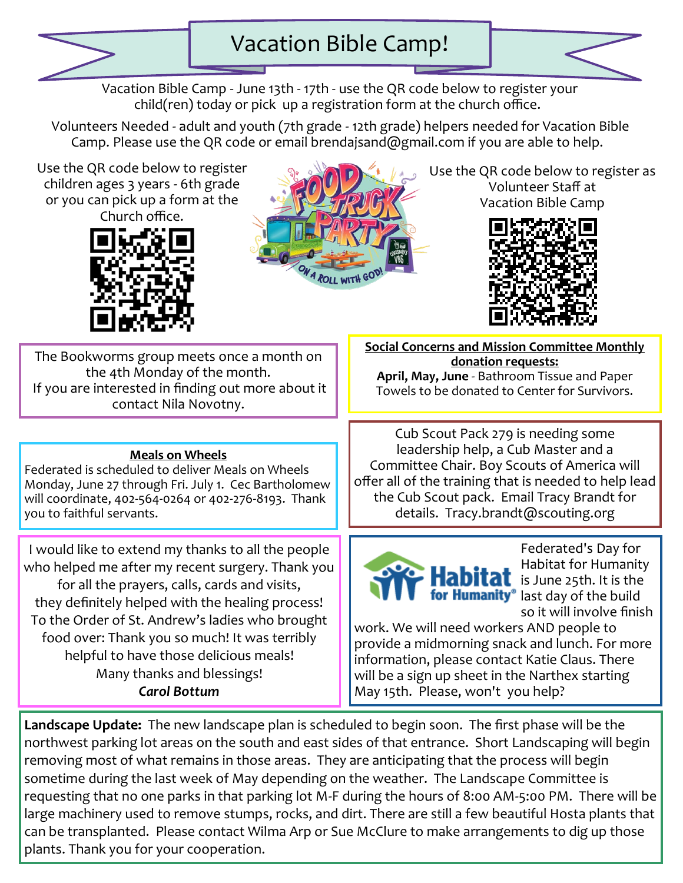![](_page_4_Picture_0.jpeg)

![](_page_4_Picture_2.jpeg)

Volunteers Needed - adult and youth (7th grade - 12th grade) helpers needed for Vacation Bible Camp. Please use the QR code or email brendajsand@gmail.com if you are able to help.

Use the QR code below to register children ages 3 years - 6th grade or you can pick up a form at the Church office.

![](_page_4_Picture_5.jpeg)

![](_page_4_Picture_6.jpeg)

Use the QR code below to register as Volunteer Staff at Vacation Bible Camp

![](_page_4_Picture_8.jpeg)

The Bookworms group meets once a month on the 4th Monday of the month. If you are interested in finding out more about it contact Nila Novotny.

#### **Meals on Wheels**

Federated is scheduled to deliver Meals on Wheels Monday, June 27 through Fri. July 1. Cec Bartholomew will coordinate, 402-564-0264 or 402-276-8193. Thank you to faithful servants.

I would like to extend my thanks to all the people who helped me after my recent surgery. Thank you for all the prayers, calls, cards and visits, they definitely helped with the healing process! To the Order of St. Andrew's ladies who brought food over: Thank you so much! It was terribly helpful to have those delicious meals! Many thanks and blessings! *Carol Bottum*

**Social Concerns and Mission Committee Monthly donation requests: April, May, June** - Bathroom Tissue and Paper Towels to be donated to Center for Survivors.

Cub Scout Pack 279 is needing some leadership help, a Cub Master and a Committee Chair. Boy Scouts of America will offer all of the training that is needed to help lead the Cub Scout pack. Email Tracy Brandt for details. Tracy.brandt@scouting.org

![](_page_4_Picture_15.jpeg)

Federated's Day for Habitat for Humanity  $\mathbf{a}$  is June 25th. It is the for Humanity<sup>®</sup> last day of the build so it will involve finish

work. We will need workers AND people to provide a midmorning snack and lunch. For more information, please contact Katie Claus. There will be a sign up sheet in the Narthex starting May 15th. Please, won't you help?

**Landscape Update:** The new landscape plan is scheduled to begin soon. The first phase will be the northwest parking lot areas on the south and east sides of that entrance. Short Landscaping will begin removing most of what remains in those areas. They are anticipating that the process will begin sometime during the last week of May depending on the weather. The Landscape Committee is requesting that no one parks in that parking lot M-F during the hours of 8:00 AM-5:00 PM. There will be large machinery used to remove stumps, rocks, and dirt. There are still a few beautiful Hosta plants that can be transplanted. Please contact Wilma Arp or Sue McClure to make arrangements to dig up those plants. Thank you for your cooperation.